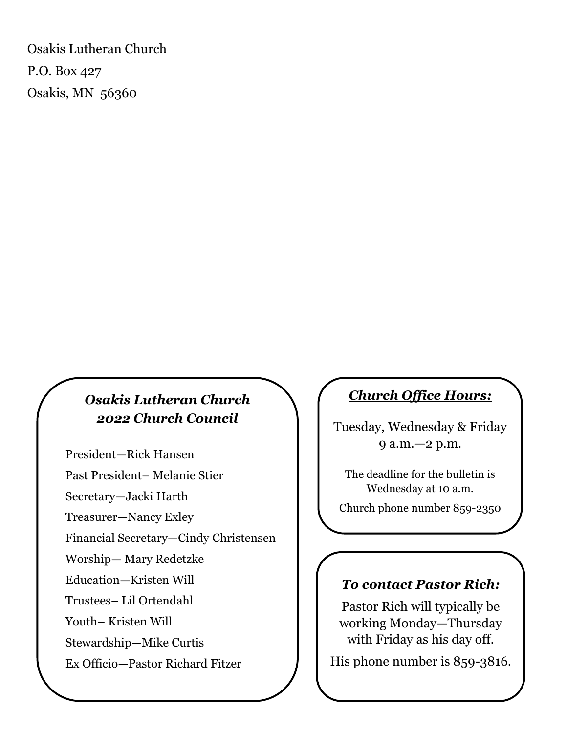Osakis Lutheran Church P.O. Box 427 Osakis, MN 56360

## *Osakis Lutheran Church 2022 Church Council*

President—Rick Hansen Past President– Melanie Stier Secretary—Jacki Harth Treasurer—Nancy Exley Financial Secretary—Cindy Christensen Worship— Mary Redetzke Education—Kristen Will Trustees– Lil Ortendahl Youth– Kristen Will Stewardship—Mike Curtis Ex Officio—Pastor Richard Fitzer

#### *Church Office Hours:*

Tuesday, Wednesday & Friday 9 a.m.—2 p.m.

The deadline for the bulletin is Wednesday at 10 a.m.

Church phone number 859-2350

#### *To contact Pastor Rich:*

Pastor Rich will typically be working Monday—Thursday with Friday as his day off.

His phone number is 859-3816.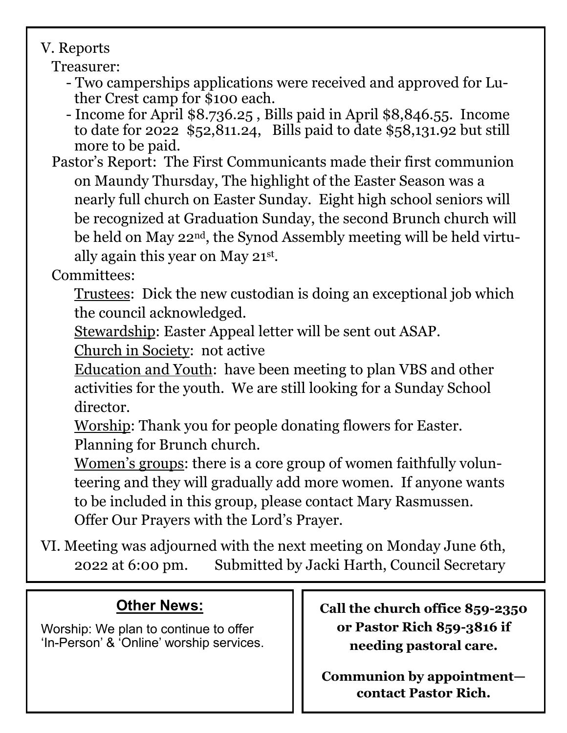## V. Reports

Treasurer:

- Two camperships applications were received and approved for Luther Crest camp for \$100 each.
- Income for April \$8.736.25 , Bills paid in April \$8,846.55. Income to date for 2022 \$52,811.24, Bills paid to date \$58,131.92 but still more to be paid.

 Pastor's Report: The First Communicants made their first communion on Maundy Thursday, The highlight of the Easter Season was a nearly full church on Easter Sunday. Eight high school seniors will be recognized at Graduation Sunday, the second Brunch church will be held on May 22nd, the Synod Assembly meeting will be held virtually again this year on May 21st .

Committees:

Trustees: Dick the new custodian is doing an exceptional job which the council acknowledged.

Stewardship: Easter Appeal letter will be sent out ASAP.

Church in Society: not active

Education and Youth: have been meeting to plan VBS and other activities for the youth. We are still looking for a Sunday School director.

Worship: Thank you for people donating flowers for Easter. Planning for Brunch church.

Women's groups: there is a core group of women faithfully volunteering and they will gradually add more women. If anyone wants to be included in this group, please contact Mary Rasmussen. Offer Our Prayers with the Lord's Prayer.

VI. Meeting was adjourned with the next meeting on Monday June 6th, 2022 at 6:00 pm. Submitted by Jacki Harth, Council Secretary

# **Other News:**

 Worship: We plan to continue to offer 'In-Person' & 'Online' worship services. **Call the church office 859-2350 or Pastor Rich 859-3816 if needing pastoral care.** 

**Communion by appointment contact Pastor Rich.**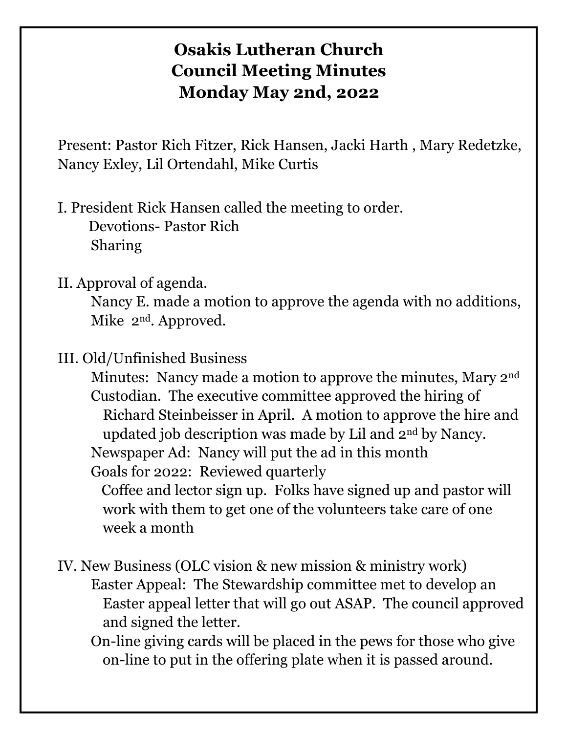# **Osakis Lutheran Church Council Meeting Minutes Monday May 2nd, 2022**

Present: Pastor Rich Fitzer, Rick Hansen, Jacki Harth , Mary Redetzke, Nancy Exley, Lil Ortendahl, Mike Curtis

- I. President Rick Hansen called the meeting to order. Devotions- Pastor Rich Sharing
- II. Approval of agenda.

Nancy E. made a motion to approve the agenda with no additions, Mike 2nd. Approved.

III. Old/Unfinished Business

Minutes: Nancy made a motion to approve the minutes, Mary 2<sup>nd</sup> Custodian. The executive committee approved the hiring of Richard Steinbeisser in April. A motion to approve the hire and updated job description was made by Lil and 2nd by Nancy. Newspaper Ad: Nancy will put the ad in this month Goals for 2022: Reviewed quarterly Coffee and lector sign up. Folks have signed up and pastor will work with them to get one of the volunteers take care of one week a month

IV. New Business (OLC vision & new mission & ministry work) Easter Appeal: The Stewardship committee met to develop an Easter appeal letter that will go out ASAP. The council approved and signed the letter.

On-line giving cards will be placed in the pews for those who give on-line to put in the offering plate when it is passed around.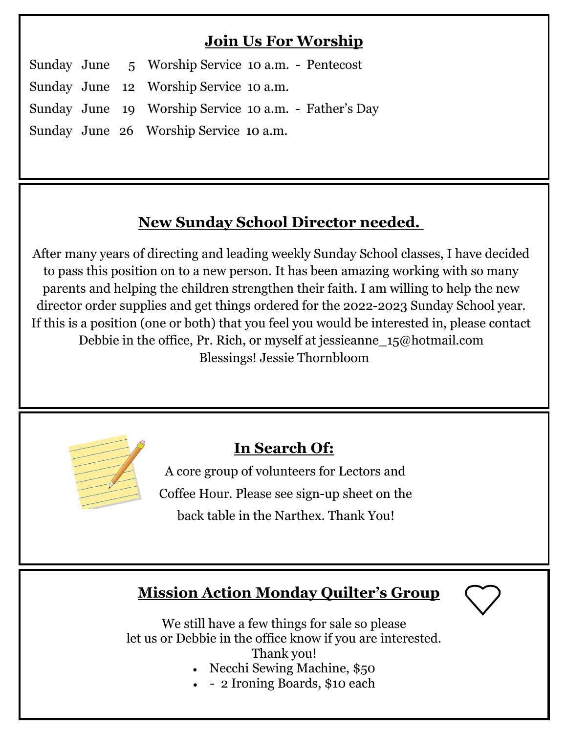# **Join Us For Worship**

 Sunday June 5 Worship Service 10 a.m. - Pentecost Sunday June 12 Worship Service 10 a.m. Sunday June 19 Worship Service 10 a.m. - Father's Day Sunday June 26 Worship Service 10 a.m.

# **New Sunday School Director needed.**

After many years of directing and leading weekly Sunday School classes, I have decided to pass this position on to a new person. It has been amazing working with so many parents and helping the children strengthen their faith. I am willing to help the new director order supplies and get things ordered for the 2022-2023 Sunday School year. If this is a position (one or both) that you feel you would be interested in, please contact Debbie in the office, Pr. Rich, or myself at jessieanne\_15@hotmail.com Blessings! Jessie Thornbloom



# **In Search Of:**

A core group of volunteers for Lectors and Coffee Hour. Please see sign-up sheet on the back table in the Narthex. Thank You!

# **Mission Action Monday Quilter's Group**



We still have a few things for sale so please let us or Debbie in the office know if you are interested. Thank you!

- Necchi Sewing Machine, \$50
- - 2 Ironing Boards, \$10 each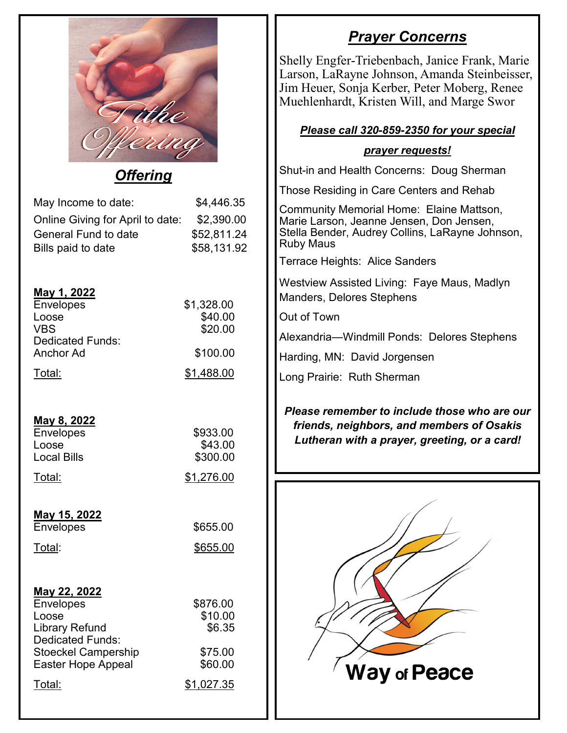

## *Offering*

| May Income to date:              | \$4,446.35          |
|----------------------------------|---------------------|
| Online Giving for April to date: | \$2,390.00          |
| <b>General Fund to date</b>      | \$52,811.24         |
| Bills paid to date               | \$58,131.92         |
|                                  |                     |
| <u>May 1, 2022</u>               |                     |
| <b>Envelopes</b>                 | \$1,328.00          |
| Loose<br><b>VBS</b>              | \$40.00<br>\$20.00  |
| <b>Dedicated Funds:</b>          |                     |
| <b>Anchor Ad</b>                 | \$100.00            |
| <u>Total:</u>                    | \$1,488.00          |
|                                  |                     |
| <u>May 8, 2022</u>               |                     |
| <b>Envelopes</b>                 | \$933.00            |
| Loose                            | \$43.00             |
| <b>Local Bills</b>               | \$300.00            |
| <u>Total:</u>                    | <u>\$1,276.00</u>   |
|                                  |                     |
| <u>May 15, 2022</u><br>Envelopes | \$655.00            |
|                                  |                     |
| <u>Total:</u>                    | \$655.00            |
|                                  |                     |
| <u>May 22, 2022</u>              |                     |
| Envelopes<br>Loose               | \$876.00<br>\$10.00 |
| Library Refund                   | \$6.35              |
| <b>Dedicated Funds:</b>          |                     |
| <b>Stoeckel Campership</b>       | \$75.00             |
| <b>Easter Hope Appeal</b>        | \$60.00             |
| <u>Total:</u>                    | \$1,027.35          |
|                                  |                     |

## *Prayer Concerns*

Shelly Engfer-Triebenbach, Janice Frank, Marie Larson, LaRayne Johnson, Amanda Steinbeisser, Jim Heuer, Sonja Kerber, Peter Moberg, Renee Muehlenhardt, Kristen Will, and Marge Swor

#### *Please call 320-859-2350 for your special*

#### *prayer requests!*

Shut-in and Health Concerns: Doug Sherman

Those Residing in Care Centers and Rehab

Community Memorial Home: Elaine Mattson, Marie Larson, Jeanne Jensen, Don Jensen, Stella Bender, Audrey Collins, LaRayne Johnson, Ruby Maus

Terrace Heights: Alice Sanders

Westview Assisted Living: Faye Maus, Madlyn Manders, Delores Stephens

Out of Town

Alexandria—Windmill Ponds: Delores Stephens

Harding, MN: David Jorgensen

Long Prairie: Ruth Sherman

*Please remember to include those who are our friends, neighbors, and members of Osakis Lutheran with a prayer, greeting, or a card!*

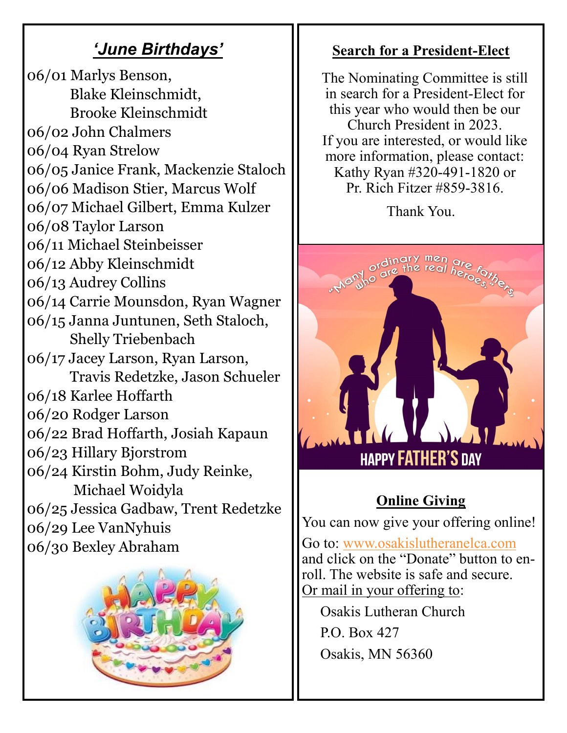# *'June Birthdays'*

06/01 Marlys Benson, Blake Kleinschmidt, Brooke Kleinschmidt 06/02 John Chalmers 06/04 Ryan Strelow 06/05 Janice Frank, Mackenzie Staloch 06/06 Madison Stier, Marcus Wolf 06/07 Michael Gilbert, Emma Kulzer 06/08 Taylor Larson 06/11 Michael Steinbeisser 06/12 Abby Kleinschmidt 06/13 Audrey Collins 06/14 Carrie Mounsdon, Ryan Wagner 06/15 Janna Juntunen, Seth Staloch, Shelly Triebenbach 06/17 Jacey Larson, Ryan Larson, Travis Redetzke, Jason Schueler 06/18 Karlee Hoffarth 06/20 Rodger Larson 06/22 Brad Hoffarth, Josiah Kapaun 06/23 Hillary Bjorstrom 06/24 Kirstin Bohm, Judy Reinke, Michael Woidyla 06/25 Jessica Gadbaw, Trent Redetzke 06/29 Lee VanNyhuis 06/30 Bexley Abraham



### **Search for a President-Elect**

The Nominating Committee is still in search for a President-Elect for this year who would then be our Church President in 2023. If you are interested, or would like more information, please contact: Kathy Ryan #320-491-1820 or Pr. Rich Fitzer #859-3816.

Thank You.



## **Online Giving**

You can now give your offering online!

Go to: www.osakislutheranelca.com and click on the "Donate" button to enroll. The website is safe and secure. Or mail in your offering to:

 Osakis Lutheran Church P.O. Box 427 Osakis, MN 56360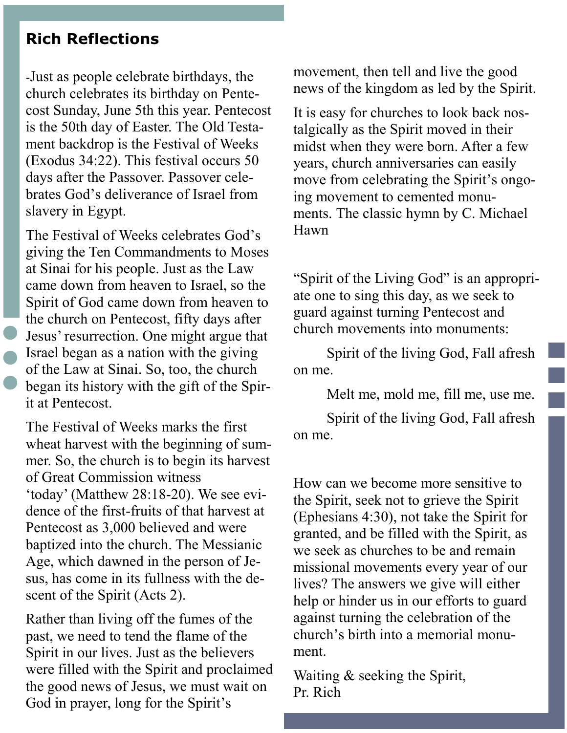## **Rich Reflections**

-Just as people celebrate birthdays, the church celebrates its birthday on Pentecost Sunday, June 5th this year. Pentecost is the 50th day of Easter. The Old Testament backdrop is the Festival of Weeks (Exodus 34:22). This festival occurs 50 days after the Passover. Passover celebrates God's deliverance of Israel from slavery in Egypt.

The Festival of Weeks celebrates God's giving the Ten Commandments to Moses at Sinai for his people. Just as the Law came down from heaven to Israel, so the Spirit of God came down from heaven to the church on Pentecost, fifty days after Jesus' resurrection. One might argue that Israel began as a nation with the giving of the Law at Sinai. So, too, the church began its history with the gift of the Spirit at Pentecost.

The Festival of Weeks marks the first wheat harvest with the beginning of summer. So, the church is to begin its harvest of Great Commission witness 'today' (Matthew 28:18-20). We see evidence of the first-fruits of that harvest at Pentecost as 3,000 believed and were baptized into the church. The Messianic Age, which dawned in the person of Jesus, has come in its fullness with the descent of the Spirit (Acts 2).

Rather than living off the fumes of the past, we need to tend the flame of the Spirit in our lives. Just as the believers were filled with the Spirit and proclaimed the good news of Jesus, we must wait on God in prayer, long for the Spirit's

movement, then tell and live the good news of the kingdom as led by the Spirit.

It is easy for churches to look back nostalgically as the Spirit moved in their midst when they were born. After a few years, church anniversaries can easily move from celebrating the Spirit's ongoing movement to cemented monuments. The classic hymn by C. Michael Hawn

"Spirit of the Living God" is an appropriate one to sing this day, as we seek to guard against turning Pentecost and church movements into monuments:

Spirit of the living God, Fall afresh on me.

Melt me, mold me, fill me, use me.

Spirit of the living God, Fall afresh on me.

How can we become more sensitive to the Spirit, seek not to grieve the Spirit (Ephesians 4:30), not take the Spirit for granted, and be filled with the Spirit, as we seek as churches to be and remain missional movements every year of our lives? The answers we give will either help or hinder us in our efforts to guard against turning the celebration of the church's birth into a memorial monument.

Waiting & seeking the Spirit, Pr. Rich